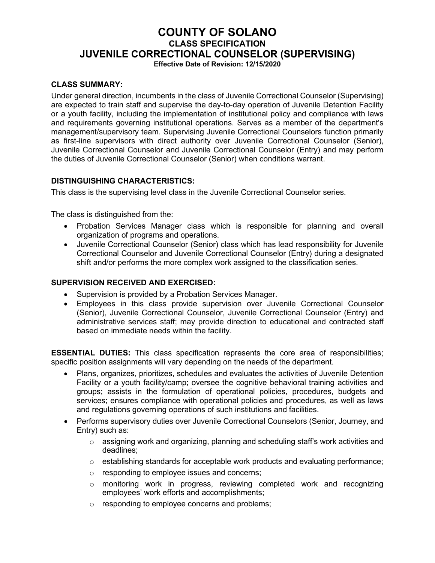# **COUNTY OF SOLANO CLASS SPECIFICATION JUVENILE CORRECTIONAL COUNSELOR (SUPERVISING)**

**Effective Date of Revision: 12/15/2020**

### **CLASS SUMMARY:**

Under general direction, incumbents in the class of Juvenile Correctional Counselor (Supervising) are expected to train staff and supervise the day-to-day operation of Juvenile Detention Facility or a youth facility, including the implementation of institutional policy and compliance with laws and requirements governing institutional operations. Serves as a member of the department's management/supervisory team. Supervising Juvenile Correctional Counselors function primarily as first-line supervisors with direct authority over Juvenile Correctional Counselor (Senior), Juvenile Correctional Counselor and Juvenile Correctional Counselor (Entry) and may perform the duties of Juvenile Correctional Counselor (Senior) when conditions warrant.

### **DISTINGUISHING CHARACTERISTICS:**

This class is the supervising level class in the Juvenile Correctional Counselor series.

The class is distinguished from the:

- Probation Services Manager class which is responsible for planning and overall organization of programs and operations.
- Juvenile Correctional Counselor (Senior) class which has lead responsibility for Juvenile Correctional Counselor and Juvenile Correctional Counselor (Entry) during a designated shift and/or performs the more complex work assigned to the classification series.

#### **SUPERVISION RECEIVED AND EXERCISED:**

- Supervision is provided by a Probation Services Manager.
- Employees in this class provide supervision over Juvenile Correctional Counselor (Senior), Juvenile Correctional Counselor, Juvenile Correctional Counselor (Entry) and administrative services staff; may provide direction to educational and contracted staff based on immediate needs within the facility.

**ESSENTIAL DUTIES:** This class specification represents the core area of responsibilities; specific position assignments will vary depending on the needs of the department.

- Plans, organizes, prioritizes, schedules and evaluates the activities of Juvenile Detention Facility or a youth facility/camp; oversee the cognitive behavioral training activities and groups; assists in the formulation of operational policies, procedures, budgets and services; ensures compliance with operational policies and procedures, as well as laws and regulations governing operations of such institutions and facilities.
- Performs supervisory duties over Juvenile Correctional Counselors (Senior, Journey, and Entry) such as:
	- o assigning work and organizing, planning and scheduling staff's work activities and deadlines;
	- $\circ$  establishing standards for acceptable work products and evaluating performance;
	- o responding to employee issues and concerns;
	- $\circ$  monitoring work in progress, reviewing completed work and recognizing employees' work efforts and accomplishments;
	- o responding to employee concerns and problems;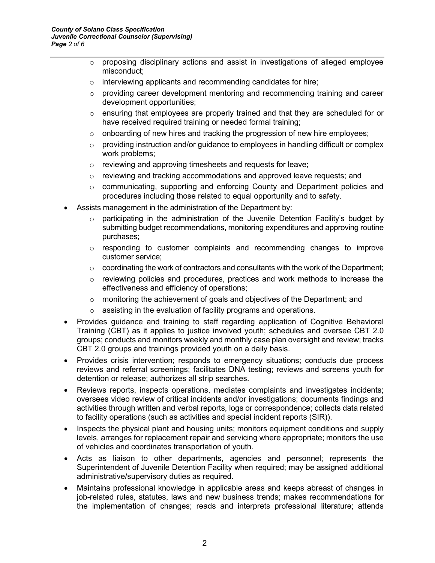- $\circ$  proposing disciplinary actions and assist in investigations of alleged employee misconduct;
- o interviewing applicants and recommending candidates for hire;
- $\circ$  providing career development mentoring and recommending training and career development opportunities;
- o ensuring that employees are properly trained and that they are scheduled for or have received required training or needed formal training:
- $\circ$  onboarding of new hires and tracking the progression of new hire employees;
- $\circ$  providing instruction and/or guidance to employees in handling difficult or complex work problems;
- o reviewing and approving timesheets and requests for leave;
- $\circ$  reviewing and tracking accommodations and approved leave requests; and
- $\circ$  communicating, supporting and enforcing County and Department policies and procedures including those related to equal opportunity and to safety.
- Assists management in the administration of the Department by:
	- $\circ$  participating in the administration of the Juvenile Detention Facility's budget by submitting budget recommendations, monitoring expenditures and approving routine purchases;
	- $\circ$  responding to customer complaints and recommending changes to improve customer service;
	- $\circ$  coordinating the work of contractors and consultants with the work of the Department;
	- o reviewing policies and procedures, practices and work methods to increase the effectiveness and efficiency of operations;
	- $\circ$  monitoring the achievement of goals and objectives of the Department; and
	- $\circ$  assisting in the evaluation of facility programs and operations.
- Provides guidance and training to staff regarding application of Cognitive Behavioral Training (CBT) as it applies to justice involved youth; schedules and oversee CBT 2.0 groups; conducts and monitors weekly and monthly case plan oversight and review; tracks CBT 2.0 groups and trainings provided youth on a daily basis.
- Provides crisis intervention; responds to emergency situations; conducts due process reviews and referral screenings; facilitates DNA testing; reviews and screens youth for detention or release; authorizes all strip searches.
- Reviews reports, inspects operations, mediates complaints and investigates incidents; oversees video review of critical incidents and/or investigations; documents findings and activities through written and verbal reports, logs or correspondence; collects data related to facility operations (such as activities and special incident reports (SIR)).
- Inspects the physical plant and housing units; monitors equipment conditions and supply levels, arranges for replacement repair and servicing where appropriate; monitors the use of vehicles and coordinates transportation of youth.
- Acts as liaison to other departments, agencies and personnel; represents the Superintendent of Juvenile Detention Facility when required; may be assigned additional administrative/supervisory duties as required.
- Maintains professional knowledge in applicable areas and keeps abreast of changes in job-related rules, statutes, laws and new business trends; makes recommendations for the implementation of changes; reads and interprets professional literature; attends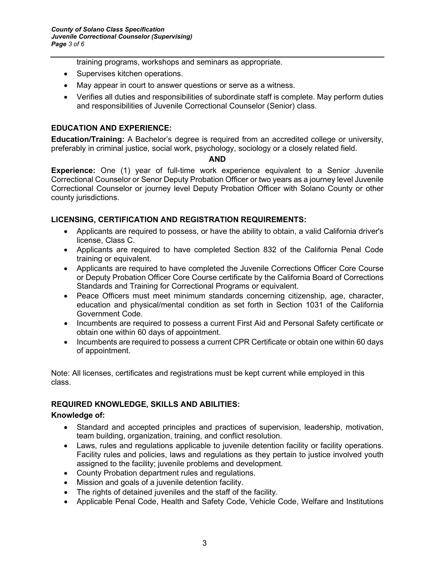training programs, workshops and seminars as appropriate.

- Supervises kitchen operations.
- May appear in court to answer questions or serve as a witness.
- Verifies all duties and responsibilities of subordinate staff is complete. May perform duties and responsibilities of Juvenile Correctional Counselor (Senior) class.

#### **EDUCATION AND EXPERIENCE:**

**Education/Training:** A Bachelor's degree is required from an accredited college or university, preferably in criminal justice, social work, psychology, sociology or a closely related field.

#### **AND**

**Experience:** One (1) year of full-time work experience equivalent to a Senior Juvenile Correctional Counselor or Senor Deputy Probation Officer or two years as a journey level Juvenile Correctional Counselor or journey level Deputy Probation Officer with Solano County or other county jurisdictions.

### **LICENSING, CERTIFICATION AND REGISTRATION REQUIREMENTS:**

- Applicants are required to possess, or have the ability to obtain, a valid California driver's license, Class C.
- Applicants are required to have completed Section 832 of the California Penal Code training or equivalent.
- Applicants are required to have completed the Juvenile Corrections Officer Core Course or Deputy Probation Officer Core Course certificate by the California Board of Corrections Standards and Training for Correctional Programs or equivalent.
- Peace Officers must meet minimum standards concerning citizenship, age, character, education and physical/mental condition as set forth in Section 1031 of the California Government Code.
- Incumbents are required to possess a current First Aid and Personal Safety certificate or obtain one within 60 days of appointment.
- Incumbents are required to possess a current CPR Certificate or obtain one within 60 days of appointment.

Note: All licenses, certificates and registrations must be kept current while employed in this class.

### **REQUIRED KNOWLEDGE, SKILLS AND ABILITIES:**

#### **Knowledge of:**

- Standard and accepted principles and practices of supervision, leadership, motivation, team building, organization, training, and conflict resolution.
- Laws, rules and regulations applicable to juvenile detention facility or facility operations. Facility rules and policies, laws and regulations as they pertain to justice involved youth assigned to the facility; juvenile problems and development.
- County Probation department rules and regulations.
- Mission and goals of a juvenile detention facility.
- The rights of detained juveniles and the staff of the facility.
- Applicable Penal Code, Health and Safety Code, Vehicle Code, Welfare and Institutions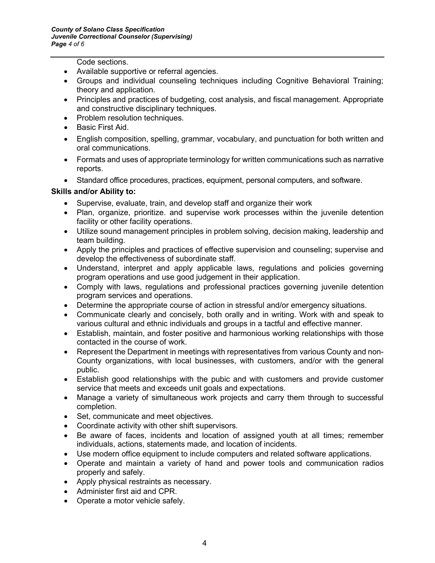Code sections.

- Available supportive or referral agencies.
- Groups and individual counseling techniques including Cognitive Behavioral Training; theory and application.
- Principles and practices of budgeting, cost analysis, and fiscal management. Appropriate and constructive disciplinary techniques.
- Problem resolution techniques.
- Basic First Aid.
- English composition, spelling, grammar, vocabulary, and punctuation for both written and oral communications.
- Formats and uses of appropriate terminology for written communications such as narrative reports.
- Standard office procedures, practices, equipment, personal computers, and software.

### **Skills and/or Ability to:**

- Supervise, evaluate, train, and develop staff and organize their work
- Plan, organize, prioritize. and supervise work processes within the juvenile detention facility or other facility operations.
- Utilize sound management principles in problem solving, decision making, leadership and team building.
- Apply the principles and practices of effective supervision and counseling; supervise and develop the effectiveness of subordinate staff.
- Understand, interpret and apply applicable laws, regulations and policies governing program operations and use good judgement in their application.
- Comply with laws, regulations and professional practices governing juvenile detention program services and operations.
- Determine the appropriate course of action in stressful and/or emergency situations.
- Communicate clearly and concisely, both orally and in writing. Work with and speak to various cultural and ethnic individuals and groups in a tactful and effective manner.
- Establish, maintain, and foster positive and harmonious working relationships with those contacted in the course of work.
- Represent the Department in meetings with representatives from various County and non-County organizations, with local businesses, with customers, and/or with the general public.
- Establish good relationships with the pubic and with customers and provide customer service that meets and exceeds unit goals and expectations.
- Manage a variety of simultaneous work projects and carry them through to successful completion.
- Set, communicate and meet objectives.
- Coordinate activity with other shift supervisors.
- Be aware of faces, incidents and location of assigned youth at all times; remember individuals, actions, statements made, and location of incidents.
- Use modern office equipment to include computers and related software applications.
- Operate and maintain a variety of hand and power tools and communication radios properly and safely.
- Apply physical restraints as necessary.
- Administer first aid and CPR.
- Operate a motor vehicle safely.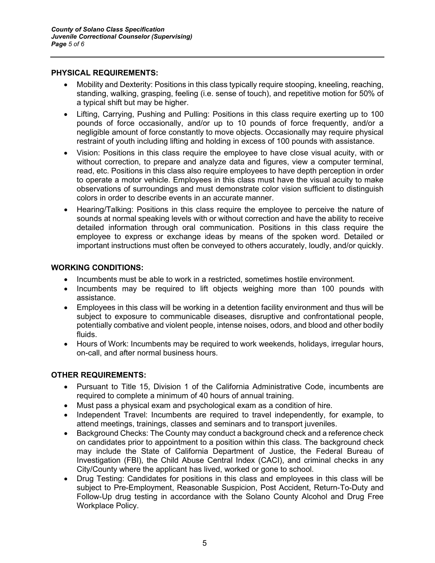#### **PHYSICAL REQUIREMENTS:**

- Mobility and Dexterity: Positions in this class typically require stooping, kneeling, reaching, standing, walking, grasping, feeling (i.e. sense of touch), and repetitive motion for 50% of a typical shift but may be higher.
- Lifting, Carrying, Pushing and Pulling: Positions in this class require exerting up to 100 pounds of force occasionally, and/or up to 10 pounds of force frequently, and/or a negligible amount of force constantly to move objects. Occasionally may require physical restraint of youth including lifting and holding in excess of 100 pounds with assistance.
- Vision: Positions in this class require the employee to have close visual acuity, with or without correction, to prepare and analyze data and figures, view a computer terminal, read, etc. Positions in this class also require employees to have depth perception in order to operate a motor vehicle. Employees in this class must have the visual acuity to make observations of surroundings and must demonstrate color vision sufficient to distinguish colors in order to describe events in an accurate manner.
- Hearing/Talking: Positions in this class require the employee to perceive the nature of sounds at normal speaking levels with or without correction and have the ability to receive detailed information through oral communication. Positions in this class require the employee to express or exchange ideas by means of the spoken word. Detailed or important instructions must often be conveyed to others accurately, loudly, and/or quickly.

### **WORKING CONDITIONS:**

- Incumbents must be able to work in a restricted, sometimes hostile environment.
- Incumbents may be required to lift objects weighing more than 100 pounds with assistance.
- Employees in this class will be working in a detention facility environment and thus will be subject to exposure to communicable diseases, disruptive and confrontational people, potentially combative and violent people, intense noises, odors, and blood and other bodily fluids.
- Hours of Work: Incumbents may be required to work weekends, holidays, irregular hours, on-call, and after normal business hours.

### **OTHER REQUIREMENTS:**

- Pursuant to Title 15, Division 1 of the California Administrative Code, incumbents are required to complete a minimum of 40 hours of annual training.
- Must pass a physical exam and psychological exam as a condition of hire.
- Independent Travel: Incumbents are required to travel independently, for example, to attend meetings, trainings, classes and seminars and to transport juveniles.
- Background Checks: The County may conduct a background check and a reference check on candidates prior to appointment to a position within this class. The background check may include the State of California Department of Justice, the Federal Bureau of Investigation (FBI), the Child Abuse Central Index (CACI), and criminal checks in any City/County where the applicant has lived, worked or gone to school.
- Drug Testing: Candidates for positions in this class and employees in this class will be subject to Pre-Employment, Reasonable Suspicion, Post Accident, Return-To-Duty and Follow-Up drug testing in accordance with the Solano County Alcohol and Drug Free Workplace Policy.